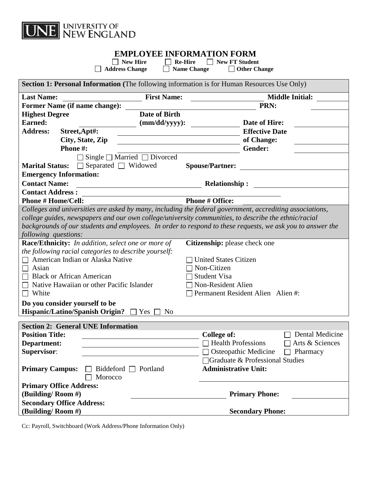

## **EMPLOYEE INFORMATION FORM**<br>  $\Box$  New Hire  $\Box$  **Re-Hire**  $\Box$  New FT Student

■ New Hire Be-Hire New FT Student<br>
■ Address Change B Name Change D Other Change  $\Box$  **Name Change** 

| <b>Section 1: Personal Information</b> (The following information is for Human Resources Use Only)         |                                       |                                                     |
|------------------------------------------------------------------------------------------------------------|---------------------------------------|-----------------------------------------------------|
| <b>Last Name:</b>                                                                                          | <b>First Name:</b>                    | <b>Middle Initial:</b>                              |
| Former Name (if name change):                                                                              |                                       | PRN:                                                |
| <b>Highest Degree</b>                                                                                      | <b>Date of Birth</b>                  |                                                     |
| <b>Earned:</b>                                                                                             | $(mm/dd/yyyy)$ :                      | Date of Hire:                                       |
| <b>Address:</b>                                                                                            | Street, Apt#:                         | <b>Effective Date</b>                               |
|                                                                                                            | City, State, Zip                      | of Change:                                          |
| Phone #:                                                                                                   |                                       | Gender:                                             |
|                                                                                                            | Single $\Box$ Married $\Box$ Divorced |                                                     |
|                                                                                                            | Marital Status: □ Separated □ Widowed | <b>Spouse/Partner:</b>                              |
| <b>Emergency Information:</b>                                                                              |                                       |                                                     |
| <b>Contact Name:</b>                                                                                       |                                       | <b>Relationship:</b>                                |
| <b>Contact Address:</b>                                                                                    |                                       |                                                     |
| <b>Phone # Home/Cell:</b>                                                                                  |                                       | <b>Phone # Office:</b>                              |
| Colleges and universities are asked by many, including the federal government, accrediting associations,   |                                       |                                                     |
| college guides, newspapers and our own college/university communities, to describe the ethnic/racial       |                                       |                                                     |
| backgrounds of our students and employees. In order to respond to these requests, we ask you to answer the |                                       |                                                     |
| following questions:                                                                                       |                                       |                                                     |
| <b>Race/Ethnicity:</b> In addition, select one or more of<br>Citizenship: please check one                 |                                       |                                                     |
| the following racial categories to describe yourself:                                                      |                                       |                                                     |
|                                                                                                            | American Indian or Alaska Native      | <b>United States Citizen</b>                        |
| Asian                                                                                                      |                                       | Non-Citizen                                         |
| <b>Black or African American</b>                                                                           |                                       | Student Visa                                        |
| Native Hawaiian or other Pacific Islander<br>$\perp$                                                       |                                       | Non-Resident Alien                                  |
| $\Box$ White<br>Permanent Resident Alien Alien #:                                                          |                                       |                                                     |
| Do you consider yourself to be                                                                             |                                       |                                                     |
| <b>Hispanic/Latino/Spanish Origin?</b>                                                                     | N <sub>0</sub><br>Yes $\Box$          |                                                     |
| <b>Section 2: General UNE Information</b>                                                                  |                                       |                                                     |
| <b>Position Title:</b>                                                                                     |                                       | Dental Medicine<br>College of:                      |
| Department:                                                                                                |                                       | $\Box$ Health Professions<br>$\Box$ Arts & Sciences |
| <b>Supervisor:</b>                                                                                         |                                       | $\Box$ Osteopathic Medicine $\Box$ Pharmacy         |
|                                                                                                            |                                       | □ Graduate & Professional Studies                   |
| <b>Primary Campus:</b>                                                                                     | Biddeford $\Box$ Portland             | <b>Administrative Unit:</b>                         |
|                                                                                                            | Morocco                               |                                                     |
| <b>Primary Office Address:</b>                                                                             |                                       |                                                     |
| (Building/Room #)                                                                                          |                                       | <b>Primary Phone:</b>                               |
| <b>Secondary Office Address:</b>                                                                           |                                       |                                                     |
| (Building/Room #)                                                                                          |                                       | <b>Secondary Phone:</b>                             |

Cc: Payroll, Switchboard (Work Address/Phone Information Only)